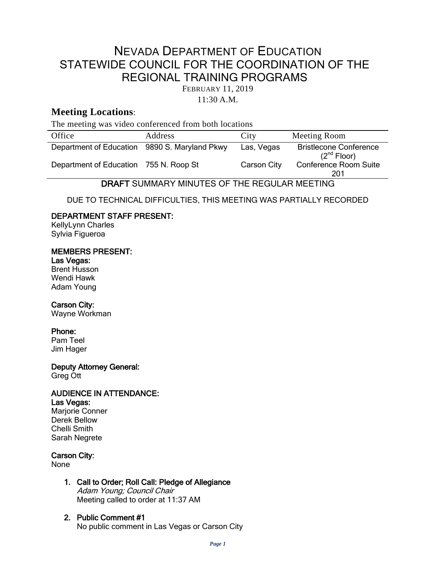# NEVADA DEPARTMENT OF EDUCATION STATEWIDE COUNCIL FOR THE COORDINATION OF THE REGIONAL TRAINING PROGRAMS

FEBRUARY 11, 2019

11:30 A.M.

## **Meeting Locations**:

The meeting was video conferenced from both locations

| Office                                        | Address        | City        | Meeting Room                                      |
|-----------------------------------------------|----------------|-------------|---------------------------------------------------|
| Department of Education 9890 S. Maryland Pkwy |                | Las, Vegas  | <b>Bristlecone Conference</b><br>$(2^{nd}$ Floor) |
| Department of Education                       | 755 N. Roop St | Carson City | <b>Conference Room Suite</b><br>201               |

DRAFT SUMMARY MINUTES OF THE REGULAR MEETING

DUE TO TECHNICAL DIFFICULTIES, THIS MEETING WAS PARTIALLY RECORDED

## DEPARTMENT STAFF PRESENT:

KellyLynn Charles Sylvia Figueroa

## MEMBERS PRESENT:

## Las Vegas:

Brent Husson Wendi Hawk Adam Young

## Carson City:

Wayne Workman

## Phone:

Pam Teel Jim Hager

Deputy Attorney General: Greg Ott

## AUDIENCE IN ATTENDANCE:

Las Vegas: Marjorie Conner Derek Bellow Chelli Smith Sarah Negrete

## Carson City:

None

- 1. Call to Order; Roll Call: Pledge of Allegiance Adam Young; Council Chair Meeting called to order at 11:37 AM
- 2. Public Comment #1 No public comment in Las Vegas or Carson City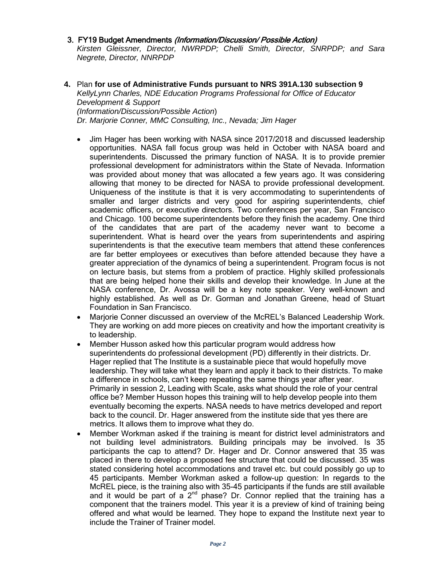### 3. FY19 Budget Amendments (Information/Discussion/ Possible Action)

*Kirsten Gleissner, Director, NWRPDP; Chelli Smith, Director, SNRPDP; and Sara Negrete, Director, NNRPDP*

- **4.** Plan **for use of Administrative Funds pursuant to NRS 391A.130 subsection 9** *KellyLynn Charles, NDE Education Programs Professional for Office of Educator Development & Support (Information/Discussion/Possible Action*) *Dr. Marjorie Conner, MMC Consulting, Inc., Nevada; Jim Hager*
	- Jim Hager has been working with NASA since 2017/2018 and discussed leadership opportunities. NASA fall focus group was held in October with NASA board and superintendents. Discussed the primary function of NASA. It is to provide premier professional development for administrators within the State of Nevada. Information was provided about money that was allocated a few years ago. It was considering allowing that money to be directed for NASA to provide professional development. Uniqueness of the institute is that it is very accommodating to superintendents of smaller and larger districts and very good for aspiring superintendents, chief academic officers, or executive directors. Two conferences per year, San Francisco and Chicago. 100 become superintendents before they finish the academy. One third of the candidates that are part of the academy never want to become a superintendent. What is heard over the years from superintendents and aspiring superintendents is that the executive team members that attend these conferences are far better employees or executives than before attended because they have a greater appreciation of the dynamics of being a superintendent. Program focus is not on lecture basis, but stems from a problem of practice. Highly skilled professionals that are being helped hone their skills and develop their knowledge. In June at the NASA conference, Dr. Avossa will be a key note speaker. Very well-known and highly established. As well as Dr. Gorman and Jonathan Greene, head of Stuart Foundation in San Francisco.
	- Marjorie Conner discussed an overview of the McREL's Balanced Leadership Work. They are working on add more pieces on creativity and how the important creativity is to leadership.
	- Member Husson asked how this particular program would address how superintendents do professional development (PD) differently in their districts. Dr. Hager replied that The Institute is a sustainable piece that would hopefully move leadership. They will take what they learn and apply it back to their districts. To make a difference in schools, can't keep repeating the same things year after year. Primarily in session 2, Leading with Scale, asks what should the role of your central office be? Member Husson hopes this training will to help develop people into them eventually becoming the experts. NASA needs to have metrics developed and report back to the council. Dr. Hager answered from the institute side that yes there are metrics. It allows them to improve what they do.
	- Member Workman asked if the training is meant for district level administrators and not building level administrators. Building principals may be involved. Is 35 participants the cap to attend? Dr. Hager and Dr. Connor answered that 35 was placed in there to develop a proposed fee structure that could be discussed. 35 was stated considering hotel accommodations and travel etc. but could possibly go up to 45 participants. Member Workman asked a follow-up question: In regards to the McREL piece, is the training also with 35-45 participants if the funds are still available and it would be part of a  $2^{nd}$  phase? Dr. Connor replied that the training has a component that the trainers model. This year it is a preview of kind of training being offered and what would be learned. They hope to expand the Institute next year to include the Trainer of Trainer model.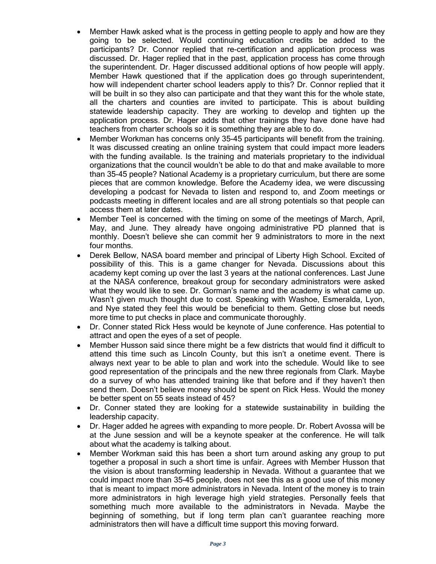- Member Hawk asked what is the process in getting people to apply and how are they going to be selected. Would continuing education credits be added to the participants? Dr. Connor replied that re-certification and application process was discussed. Dr. Hager replied that in the past, application process has come through the superintendent. Dr. Hager discussed additional options of how people will apply. Member Hawk questioned that if the application does go through superintendent, how will independent charter school leaders apply to this? Dr. Connor replied that it will be built in so they also can participate and that they want this for the whole state, all the charters and counties are invited to participate. This is about building statewide leadership capacity. They are working to develop and tighten up the application process. Dr. Hager adds that other trainings they have done have had teachers from charter schools so it is something they are able to do.
- Member Workman has concerns only 35-45 participants will benefit from the training. It was discussed creating an online training system that could impact more leaders with the funding available. Is the training and materials proprietary to the individual organizations that the council wouldn't be able to do that and make available to more than 35-45 people? National Academy is a proprietary curriculum, but there are some pieces that are common knowledge. Before the Academy idea, we were discussing developing a podcast for Nevada to listen and respond to, and Zoom meetings or podcasts meeting in different locales and are all strong potentials so that people can access them at later dates.
- Member Teel is concerned with the timing on some of the meetings of March, April, May, and June. They already have ongoing administrative PD planned that is monthly. Doesn't believe she can commit her 9 administrators to more in the next four months.
- Derek Bellow, NASA board member and principal of Liberty High School. Excited of possibility of this. This is a game changer for Nevada. Discussions about this academy kept coming up over the last 3 years at the national conferences. Last June at the NASA conference, breakout group for secondary administrators were asked what they would like to see. Dr. Gorman's name and the academy is what came up. Wasn't given much thought due to cost. Speaking with Washoe, Esmeralda, Lyon, and Nye stated they feel this would be beneficial to them. Getting close but needs more time to put checks in place and communicate thoroughly.
- Dr. Conner stated Rick Hess would be keynote of June conference. Has potential to attract and open the eyes of a set of people.
- Member Husson said since there might be a few districts that would find it difficult to attend this time such as Lincoln County, but this isn't a onetime event. There is always next year to be able to plan and work into the schedule. Would like to see good representation of the principals and the new three regionals from Clark. Maybe do a survey of who has attended training like that before and if they haven't then send them. Doesn't believe money should be spent on Rick Hess. Would the money be better spent on 55 seats instead of 45?
- Dr. Conner stated they are looking for a statewide sustainability in building the leadership capacity.
- Dr. Hager added he agrees with expanding to more people. Dr. Robert Avossa will be at the June session and will be a keynote speaker at the conference. He will talk about what the academy is talking about.
- Member Workman said this has been a short turn around asking any group to put together a proposal in such a short time is unfair. Agrees with Member Husson that the vision is about transforming leadership in Nevada. Without a guarantee that we could impact more than 35-45 people, does not see this as a good use of this money that is meant to impact more administrators in Nevada. Intent of the money is to train more administrators in high leverage high yield strategies. Personally feels that something much more available to the administrators in Nevada. Maybe the beginning of something, but if long term plan can't guarantee reaching more administrators then will have a difficult time support this moving forward.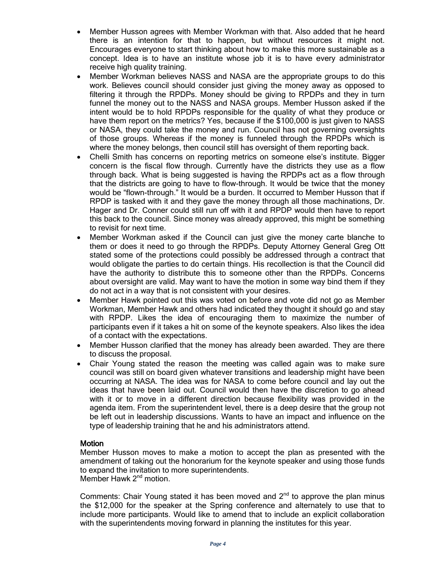- Member Husson agrees with Member Workman with that. Also added that he heard there is an intention for that to happen, but without resources it might not. Encourages everyone to start thinking about how to make this more sustainable as a concept. Idea is to have an institute whose job it is to have every administrator receive high quality training.
- Member Workman believes NASS and NASA are the appropriate groups to do this work. Believes council should consider just giving the money away as opposed to filtering it through the RPDPs. Money should be giving to RPDPs and they in turn funnel the money out to the NASS and NASA groups. Member Husson asked if the intent would be to hold RPDPs responsible for the quality of what they produce or have them report on the metrics? Yes, because if the \$100,000 is just given to NASS or NASA, they could take the money and run. Council has not governing oversights of those groups. Whereas if the money is funneled through the RPDPs which is where the money belongs, then council still has oversight of them reporting back.
- Chelli Smith has concerns on reporting metrics on someone else's institute. Bigger concern is the fiscal flow through. Currently have the districts they use as a flow through back. What is being suggested is having the RPDPs act as a flow through that the districts are going to have to flow-through. It would be twice that the money would be "flown-through." It would be a burden. It occurred to Member Husson that if RPDP is tasked with it and they gave the money through all those machinations, Dr. Hager and Dr. Conner could still run off with it and RPDP would then have to report this back to the council. Since money was already approved, this might be something to revisit for next time.
- Member Workman asked if the Council can just give the money carte blanche to them or does it need to go through the RPDPs. Deputy Attorney General Greg Ott stated some of the protections could possibly be addressed through a contract that would obligate the parties to do certain things. His recollection is that the Council did have the authority to distribute this to someone other than the RPDPs. Concerns about oversight are valid. May want to have the motion in some way bind them if they do not act in a way that is not consistent with your desires.
- Member Hawk pointed out this was voted on before and vote did not go as Member Workman, Member Hawk and others had indicated they thought it should go and stay with RPDP. Likes the idea of encouraging them to maximize the number of participants even if it takes a hit on some of the keynote speakers. Also likes the idea of a contact with the expectations.
- Member Husson clarified that the money has already been awarded. They are there to discuss the proposal.
- Chair Young stated the reason the meeting was called again was to make sure council was still on board given whatever transitions and leadership might have been occurring at NASA. The idea was for NASA to come before council and lay out the ideas that have been laid out. Council would then have the discretion to go ahead with it or to move in a different direction because flexibility was provided in the agenda item. From the superintendent level, there is a deep desire that the group not be left out in leadership discussions. Wants to have an impact and influence on the type of leadership training that he and his administrators attend.

## **Motion**

Member Husson moves to make a motion to accept the plan as presented with the amendment of taking out the honorarium for the keynote speaker and using those funds to expand the invitation to more superintendents. Member Hawk 2<sup>nd</sup> motion.

Comments: Chair Young stated it has been moved and  $2<sup>nd</sup>$  to approve the plan minus the \$12,000 for the speaker at the Spring conference and alternately to use that to include more participants. Would like to amend that to include an explicit collaboration with the superintendents moving forward in planning the institutes for this year.